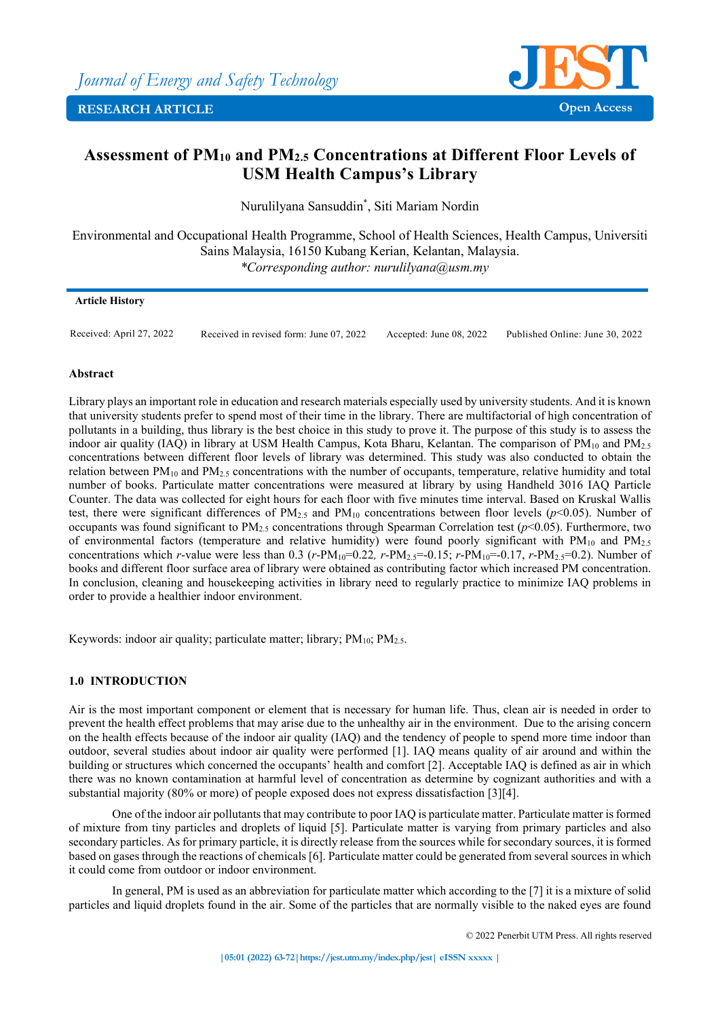

# **Assessment of PM10 and PM2.5 Concentrations at Different Floor Levels of USM Health Campus's Library**

Nurulilyana Sansuddin\* , Siti Mariam Nordin

Environmental and Occupational Health Programme, School of Health Sciences, Health Campus, Universiti Sains Malaysia, 16150 Kubang Kerian, Kelantan, Malaysia. *\*Corresponding author: nurulilyana@usm.my*

## **Article History**

Received: April 27, 2022 Received in revised form: June 07, 2022 Accepted: June 08, 2022 Published Online: June 30, 2022

## **Abstract**

Library plays an important role in education and research materials especially used by university students. And it is known that university students prefer to spend most of their time in the library. There are multifactorial of high concentration of pollutants in a building, thus library is the best choice in this study to prove it. The purpose of this study is to assess the indoor air quality (IAQ) in library at USM Health Campus, Kota Bharu, Kelantan. The comparison of  $PM_{10}$  and  $PM_{2.5}$ concentrations between different floor levels of library was determined. This study was also conducted to obtain the relation between PM<sub>10</sub> and PM<sub>2.5</sub> concentrations with the number of occupants, temperature, relative humidity and total number of books. Particulate matter concentrations were measured at library by using Handheld 3016 IAQ Particle Counter. The data was collected for eight hours for each floor with five minutes time interval. Based on Kruskal Wallis test, there were significant differences of  $PM_{2.5}$  and  $PM_{10}$  concentrations between floor levels ( $p<0.05$ ). Number of occupants was found significant to  $PM_{2.5}$  concentrations through Spearman Correlation test ( $p<0.05$ ). Furthermore, two of environmental factors (temperature and relative humidity) were found poorly significant with  $PM_{10}$  and  $PM_{2.5}$ concentrations which *r*-value were less than 0.3 ( $r$ -PM<sub>10</sub>=0.22,  $r$ -PM<sub>2.5</sub>=-0.15;  $r$ -PM<sub>10</sub>=-0.17,  $r$ -PM<sub>2.5</sub>=0.2). Number of books and different floor surface area of library were obtained as contributing factor which increased PM concentration. In conclusion, cleaning and housekeeping activities in library need to regularly practice to minimize IAQ problems in order to provide a healthier indoor environment.

Keywords: indoor air quality; particulate matter; library;  $PM_{10}$ ;  $PM_{2.5}$ .

# **1.0 INTRODUCTION**

Air is the most important component or element that is necessary for human life. Thus, clean air is needed in order to prevent the health effect problems that may arise due to the unhealthy air in the environment. Due to the arising concern on the health effects because of the indoor air quality (IAQ) and the tendency of people to spend more time indoor than outdoor, several studies about indoor air quality were performed [1]. IAQ means quality of air around and within the building or structures which concerned the occupants' health and comfort [2]. Acceptable IAQ is defined as air in which there was no known contamination at harmful level of concentration as determine by cognizant authorities and with a substantial majority (80% or more) of people exposed does not express dissatisfaction [3][4].

One of the indoor air pollutants that may contribute to poor IAQ is particulate matter. Particulate matter is formed of mixture from tiny particles and droplets of liquid [5]. Particulate matter is varying from primary particles and also secondary particles. As for primary particle, it is directly release from the sources while for secondary sources, it is formed based on gases through the reactions of chemicals [6]. Particulate matter could be generated from several sources in which it could come from outdoor or indoor environment.

In general, PM is used as an abbreviation for particulate matter which according to the [7] it is a mixture of solid particles and liquid droplets found in the air. Some of the particles that are normally visible to the naked eyes are found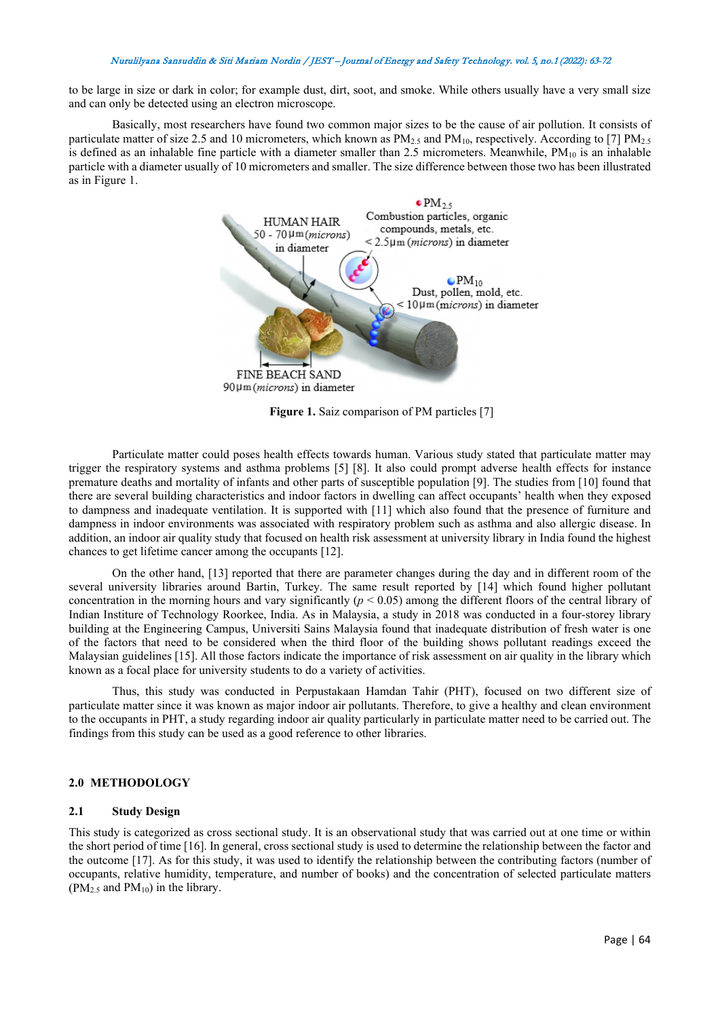to be large in size or dark in color; for example dust, dirt, soot, and smoke. While others usually have a very small size and can only be detected using an electron microscope.

Basically, most researchers have found two common major sizes to be the cause of air pollution. It consists of particulate matter of size 2.5 and 10 micrometers, which known as  $PM_{2.5}$  and  $PM_{10}$ , respectively. According to [7]  $PM_{2.5}$ is defined as an inhalable fine particle with a diameter smaller than 2.5 micrometers. Meanwhile,  $PM_{10}$  is an inhalable particle with a diameter usually of 10 micrometers and smaller. The size difference between those two has been illustrated as in Figure 1.



**Figure 1.** Saiz comparison of PM particles [7]

Particulate matter could poses health effects towards human. Various study stated that particulate matter may trigger the respiratory systems and asthma problems [5] [8]. It also could prompt adverse health effects for instance premature deaths and mortality of infants and other parts of susceptible population [9]. The studies from [10] found that there are several building characteristics and indoor factors in dwelling can affect occupants' health when they exposed to dampness and inadequate ventilation. It is supported with [11] which also found that the presence of furniture and dampness in indoor environments was associated with respiratory problem such as asthma and also allergic disease. In addition, an indoor air quality study that focused on health risk assessment at university library in India found the highest chances to get lifetime cancer among the occupants [12].

On the other hand, [13] reported that there are parameter changes during the day and in different room of the several university libraries around Bartin, Turkey. The same result reported by [14] which found higher pollutant concentration in the morning hours and vary significantly (*p* < 0.05) among the different floors of the central library of Indian Institure of Technology Roorkee, India. As in Malaysia, a study in 2018 was conducted in a four-storey library building at the Engineering Campus, Universiti Sains Malaysia found that inadequate distribution of fresh water is one of the factors that need to be considered when the third floor of the building shows pollutant readings exceed the Malaysian guidelines [15]. All those factors indicate the importance of risk assessment on air quality in the library which known as a focal place for university students to do a variety of activities.

Thus, this study was conducted in Perpustakaan Hamdan Tahir (PHT), focused on two different size of particulate matter since it was known as major indoor air pollutants. Therefore, to give a healthy and clean environment to the occupants in PHT, a study regarding indoor air quality particularly in particulate matter need to be carried out. The findings from this study can be used as a good reference to other libraries.

## **2.0 METHODOLOGY**

#### **2.1 Study Design**

This study is categorized as cross sectional study. It is an observational study that was carried out at one time or within the short period of time [16]. In general, cross sectional study is used to determine the relationship between the factor and the outcome [17]. As for this study, it was used to identify the relationship between the contributing factors (number of occupants, relative humidity, temperature, and number of books) and the concentration of selected particulate matters  $(PM<sub>2.5</sub>$  and  $PM<sub>10</sub>$ ) in the library.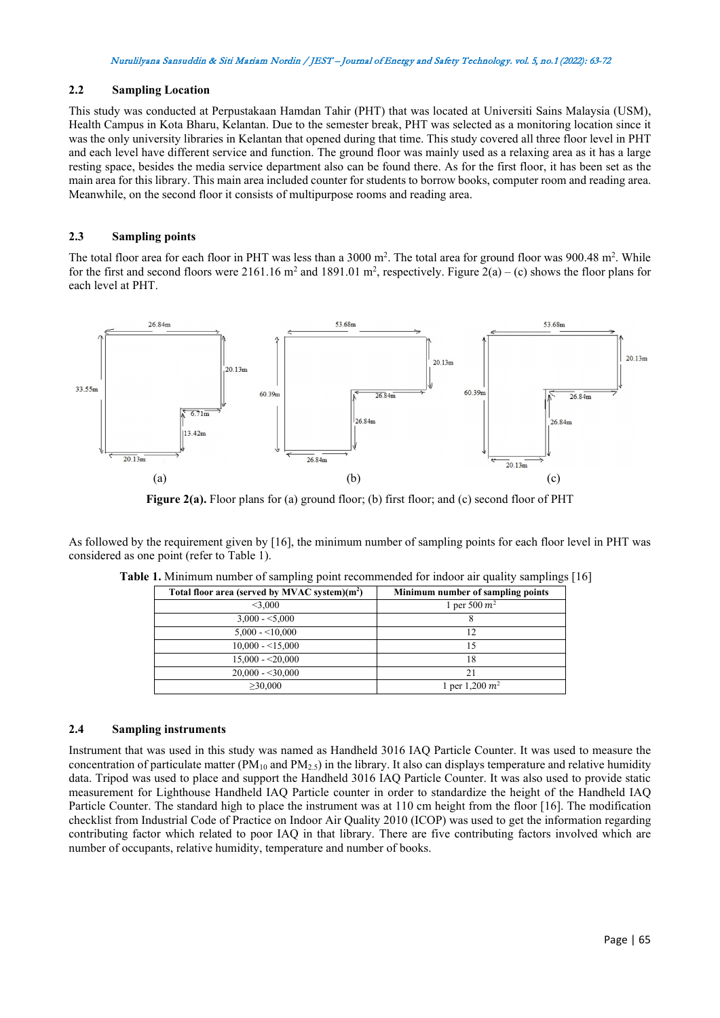#### **2.2 Sampling Location**

This study was conducted at Perpustakaan Hamdan Tahir (PHT) that was located at Universiti Sains Malaysia (USM), Health Campus in Kota Bharu, Kelantan. Due to the semester break, PHT was selected as a monitoring location since it was the only university libraries in Kelantan that opened during that time. This study covered all three floor level in PHT and each level have different service and function. The ground floor was mainly used as a relaxing area as it has a large resting space, besides the media service department also can be found there. As for the first floor, it has been set as the main area for this library. This main area included counter for students to borrow books, computer room and reading area. Meanwhile, on the second floor it consists of multipurpose rooms and reading area.

## **2.3 Sampling points**

The total floor area for each floor in PHT was less than a  $3000$  m<sup>2</sup>. The total area for ground floor was  $900.48$  m<sup>2</sup>. While for the first and second floors were 2161.16 m<sup>2</sup> and 1891.01 m<sup>2</sup>, respectively. Figure 2(a) – (c) shows the floor plans for each level at PHT.



Figure 2(a). Floor plans for (a) ground floor; (b) first floor; and (c) second floor of PHT

As followed by the requirement given by [16], the minimum number of sampling points for each floor level in PHT was considered as one point (refer to Table 1).

| Total floor area (served by MVAC system)(m <sup>2</sup> ) | Minimum number of sampling points |
|-----------------------------------------------------------|-----------------------------------|
| $<$ 3.000                                                 | 1 per 500 $m^2$                   |
| $3,000 - 5,000$                                           |                                   |
| $5.000 - 10.000$                                          | 12                                |
| $10,000 - 15,000$                                         | 15                                |
| $15,000 - 20,000$                                         | 18                                |
| $20,000 - 30,000$                                         | 21                                |
| >30,000                                                   | 1 per 1,200 $m^2$                 |

**Table 1.** Minimum number of sampling point recommended for indoor air quality samplings [16]

## **2.4 Sampling instruments**

Instrument that was used in this study was named as Handheld 3016 IAQ Particle Counter. It was used to measure the concentration of particulate matter ( $PM_{10}$  and  $PM_{2.5}$ ) in the library. It also can displays temperature and relative humidity data. Tripod was used to place and support the Handheld 3016 IAQ Particle Counter. It was also used to provide static measurement for Lighthouse Handheld IAQ Particle counter in order to standardize the height of the Handheld IAQ Particle Counter. The standard high to place the instrument was at 110 cm height from the floor [16]. The modification checklist from Industrial Code of Practice on Indoor Air Quality 2010 (ICOP) was used to get the information regarding contributing factor which related to poor IAQ in that library. There are five contributing factors involved which are number of occupants, relative humidity, temperature and number of books.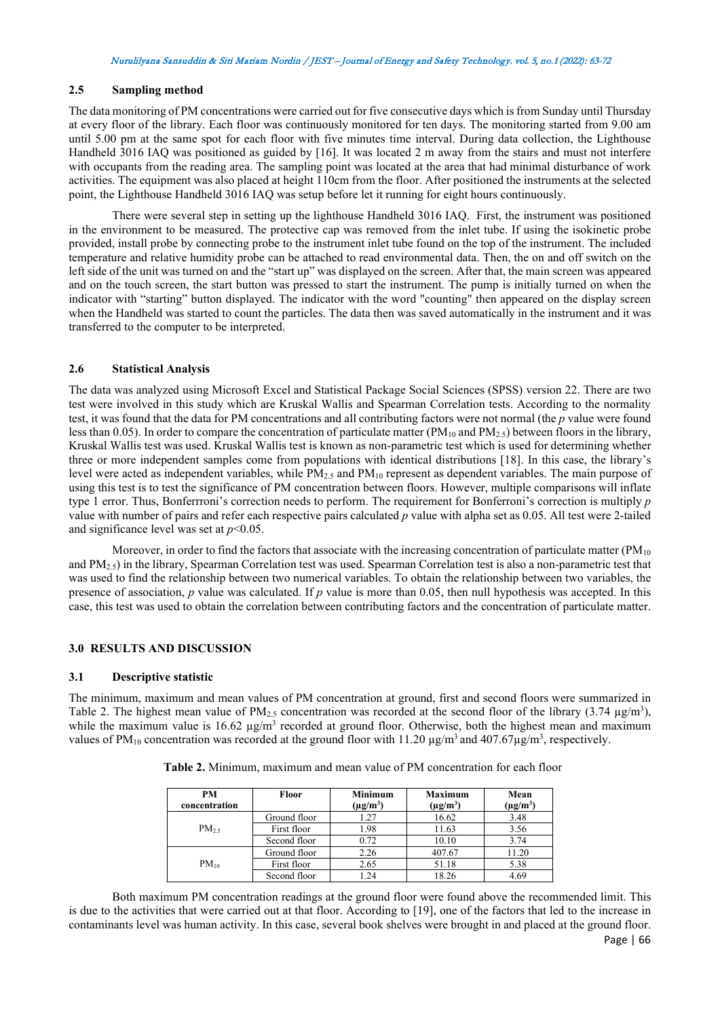# **2.5 Sampling method**

The data monitoring of PM concentrations were carried out for five consecutive days which is from Sunday until Thursday at every floor of the library. Each floor was continuously monitored for ten days. The monitoring started from 9.00 am until 5.00 pm at the same spot for each floor with five minutes time interval. During data collection, the Lighthouse Handheld 3016 IAQ was positioned as guided by [16]. It was located 2 m away from the stairs and must not interfere with occupants from the reading area. The sampling point was located at the area that had minimal disturbance of work activities. The equipment was also placed at height 110cm from the floor. After positioned the instruments at the selected point, the Lighthouse Handheld 3016 IAQ was setup before let it running for eight hours continuously.

There were several step in setting up the lighthouse Handheld 3016 IAQ. First, the instrument was positioned in the environment to be measured. The protective cap was removed from the inlet tube. If using the isokinetic probe provided, install probe by connecting probe to the instrument inlet tube found on the top of the instrument. The included temperature and relative humidity probe can be attached to read environmental data. Then, the on and off switch on the left side of the unit was turned on and the "start up" was displayed on the screen. After that, the main screen was appeared and on the touch screen, the start button was pressed to start the instrument. The pump is initially turned on when the indicator with "starting" button displayed. The indicator with the word "counting" then appeared on the display screen when the Handheld was started to count the particles. The data then was saved automatically in the instrument and it was transferred to the computer to be interpreted.

#### **2.6 Statistical Analysis**

The data was analyzed using Microsoft Excel and Statistical Package Social Sciences (SPSS) version 22. There are two test were involved in this study which are Kruskal Wallis and Spearman Correlation tests. According to the normality test, it was found that the data for PM concentrations and all contributing factors were not normal (the *p* value were found less than 0.05). In order to compare the concentration of particulate matter ( $PM_{10}$  and  $PM_{2.5}$ ) between floors in the library, Kruskal Wallis test was used. Kruskal Wallis test is known as non-parametric test which is used for determining whether three or more independent samples come from populations with identical distributions [18]. In this case, the library's level were acted as independent variables, while PM<sub>2.5</sub> and PM<sub>10</sub> represent as dependent variables. The main purpose of using this test is to test the significance of PM concentration between floors. However, multiple comparisons will inflate type 1 error. Thus, Bonferrroni's correction needs to perform. The requirement for Bonferroni's correction is multiply *p* value with number of pairs and refer each respective pairs calculated *p* value with alpha set as 0.05. All test were 2-tailed and significance level was set at *p*<0.05.

Moreover, in order to find the factors that associate with the increasing concentration of particulate matter  $(PM_{10})$ and PM2.5) in the library, Spearman Correlation test was used. Spearman Correlation test is also a non-parametric test that was used to find the relationship between two numerical variables. To obtain the relationship between two variables, the presence of association, *p* value was calculated. If *p* value is more than 0.05, then null hypothesis was accepted. In this case, this test was used to obtain the correlation between contributing factors and the concentration of particulate matter.

## **3.0 RESULTS AND DISCUSSION**

#### **3.1 Descriptive statistic**

The minimum, maximum and mean values of PM concentration at ground, first and second floors were summarized in Table 2. The highest mean value of PM<sub>2.5</sub> concentration was recorded at the second floor of the library (3.74  $\mu$ g/m<sup>3</sup>), while the maximum value is 16.62  $\mu$ g/m<sup>3</sup> recorded at ground floor. Otherwise, both the highest mean and maximum values of PM<sub>10</sub> concentration was recorded at the ground floor with 11.20  $\mu$ g/m<sup>3</sup> and 407.67 $\mu$ g/m<sup>3</sup>, respectively.

| PM<br>concentration | <b>Floor</b> | <b>Minimum</b><br>$(\mu g/m^3)$ | <b>Maximum</b><br>$(\mu g/m^3)$ | Mean<br>$(\mu$ g/m <sup>3</sup> ) |
|---------------------|--------------|---------------------------------|---------------------------------|-----------------------------------|
|                     | Ground floor | 1.27                            | 16.62                           | 3.48                              |
| $PM_{25}$           | First floor  | 1.98                            | 11.63                           | 3.56                              |
|                     | Second floor | 0.72                            | 10.10                           | 3.74                              |
|                     | Ground floor | 2.26                            | 407.67                          | 11.20                             |
| $PM_{10}$           | First floor  | 2.65                            | 51.18                           | 5.38                              |
|                     | Second floor |                                 | 18.26                           | 4.69                              |

**Table 2.** Minimum, maximum and mean value of PM concentration for each floor

Both maximum PM concentration readings at the ground floor were found above the recommended limit. This is due to the activities that were carried out at that floor. According to [19], one of the factors that led to the increase in contaminants level was human activity. In this case, several book shelves were brought in and placed at the ground floor.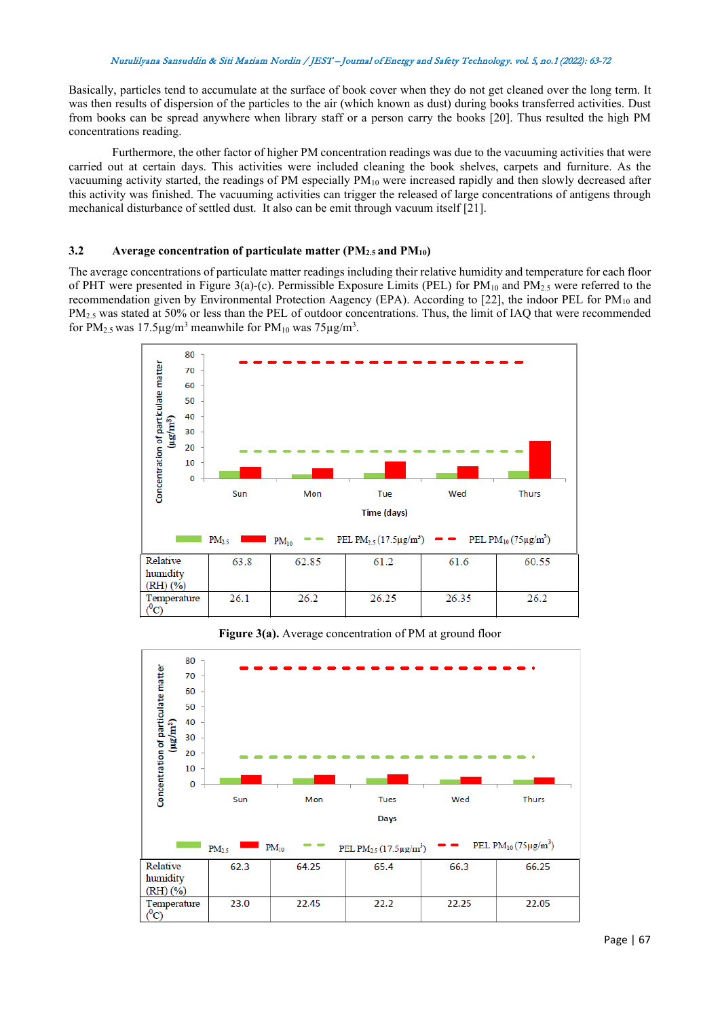Basically, particles tend to accumulate at the surface of book cover when they do not get cleaned over the long term. It was then results of dispersion of the particles to the air (which known as dust) during books transferred activities. Dust from books can be spread anywhere when library staff or a person carry the books [20]. Thus resulted the high PM concentrations reading.

Furthermore, the other factor of higher PM concentration readings was due to the vacuuming activities that were carried out at certain days. This activities were included cleaning the book shelves, carpets and furniture. As the vacuuming activity started, the readings of PM especially  $PM_{10}$  were increased rapidly and then slowly decreased after this activity was finished. The vacuuming activities can trigger the released of large concentrations of antigens through mechanical disturbance of settled dust. It also can be emit through vacuum itself [21].

# **3.2 Average concentration of particulate matter (PM2.5 and PM10)**

The average concentrations of particulate matter readings including their relative humidity and temperature for each floor of PHT were presented in Figure 3(a)-(c). Permissible Exposure Limits (PEL) for  $PM_{10}$  and  $PM_{2.5}$  were referred to the recommendation given by Environmental Protection Aagency (EPA). According to [22], the indoor PEL for PM<sub>10</sub> and PM<sub>2.5</sub> was stated at 50% or less than the PEL of outdoor concentrations. Thus, the limit of IAQ that were recommended for PM<sub>2.5</sub> was 17.5 $\mu$ g/m<sup>3</sup> meanwhile for PM<sub>10</sub> was 75 $\mu$ g/m<sup>3</sup>.



**Figure 3(a).** Average concentration of PM at ground floor

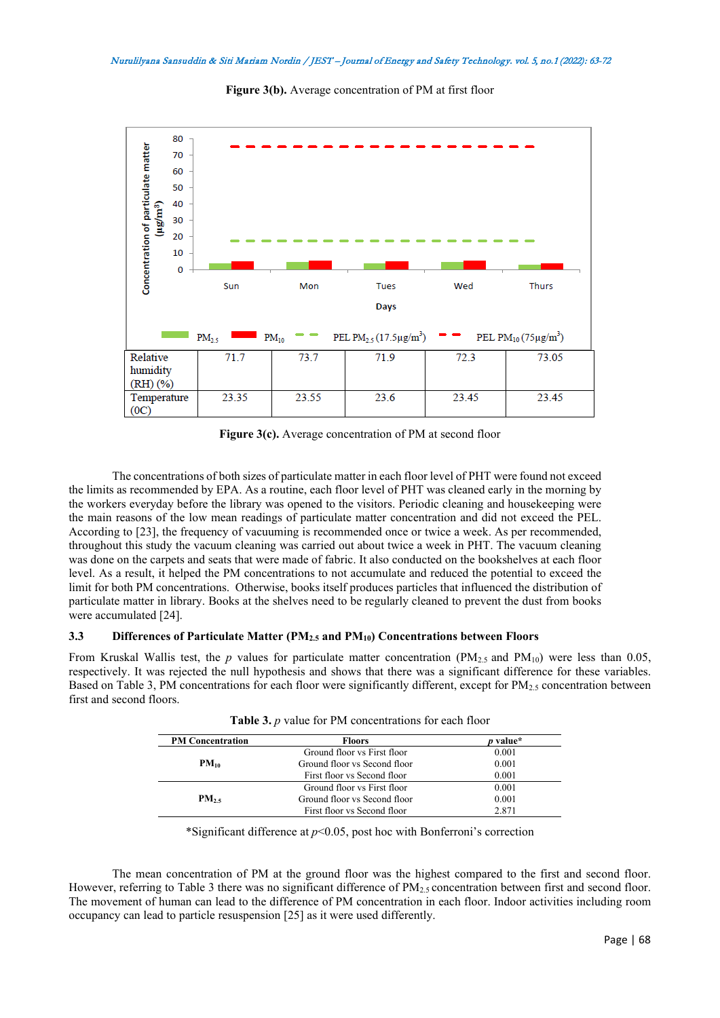

**Figure 3(b).** Average concentration of PM at first floor

**Figure 3(c).** Average concentration of PM at second floor

The concentrations of both sizes of particulate matter in each floor level of PHT were found not exceed the limits as recommended by EPA. As a routine, each floor level of PHT was cleaned early in the morning by the workers everyday before the library was opened to the visitors. Periodic cleaning and housekeeping were the main reasons of the low mean readings of particulate matter concentration and did not exceed the PEL. According to [23], the frequency of vacuuming is recommended once or twice a week. As per recommended, throughout this study the vacuum cleaning was carried out about twice a week in PHT. The vacuum cleaning was done on the carpets and seats that were made of fabric. It also conducted on the bookshelves at each floor level. As a result, it helped the PM concentrations to not accumulate and reduced the potential to exceed the limit for both PM concentrations. Otherwise, books itself produces particles that influenced the distribution of particulate matter in library. Books at the shelves need to be regularly cleaned to prevent the dust from books were accumulated [24].

## **3.3 Differences of Particulate Matter (PM2.5 and PM10) Concentrations between Floors**

From Kruskal Wallis test, the *p* values for particulate matter concentration (PM<sub>2.5</sub> and PM<sub>10</sub>) were less than 0.05, respectively. It was rejected the null hypothesis and shows that there was a significant difference for these variables. Based on Table 3, PM concentrations for each floor were significantly different, except for PM $_2$ , concentration between first and second floors.

| <b>PM Concentration</b> | <b>Floors</b>                | <i>p</i> value* |
|-------------------------|------------------------------|-----------------|
|                         | Ground floor vs First floor  | 0.001           |
| $PM_{10}$               | Ground floor vs Second floor | 0.001           |
|                         | First floor vs Second floor  | 0.001           |
|                         | Ground floor vs First floor  | 0.001           |
| $PM_{25}$               | Ground floor vs Second floor | 0.001           |
|                         | First floor vs Second floor  | 2.871           |

| Table 3. p value for PM concentrations for each floor |  |  |  |  |  |
|-------------------------------------------------------|--|--|--|--|--|
|-------------------------------------------------------|--|--|--|--|--|

\*Significant difference at *p*<0.05, post hoc with Bonferroni's correction

The mean concentration of PM at the ground floor was the highest compared to the first and second floor. However, referring to Table 3 there was no significant difference of  $PM_{2.5}$  concentration between first and second floor. The movement of human can lead to the difference of PM concentration in each floor. Indoor activities including room occupancy can lead to particle resuspension [25] as it were used differently.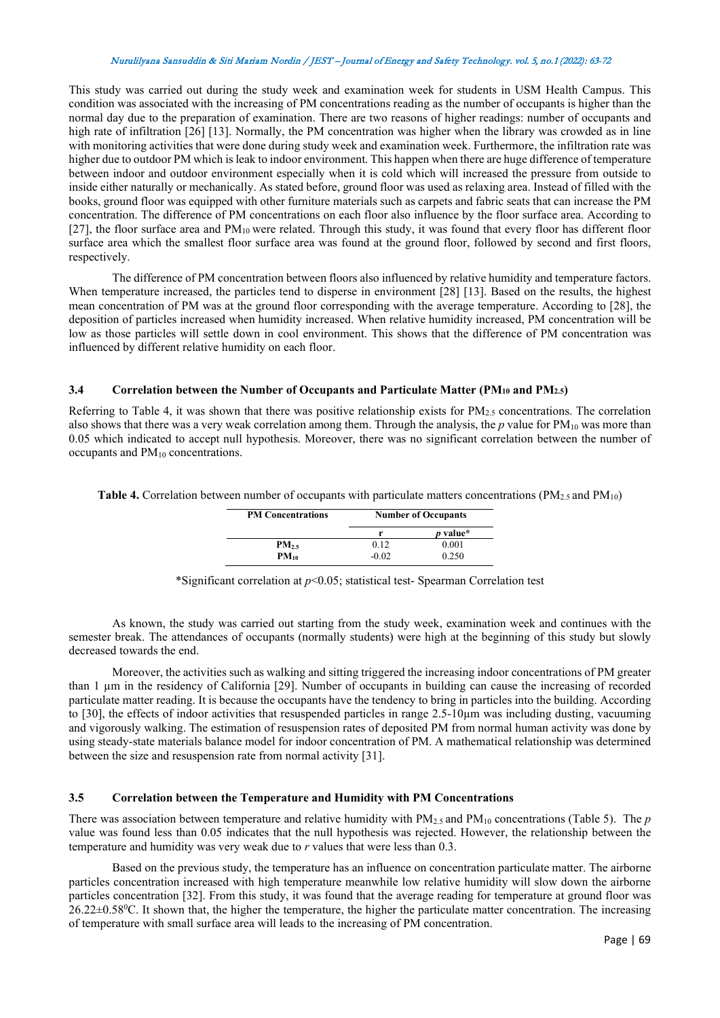This study was carried out during the study week and examination week for students in USM Health Campus. This condition was associated with the increasing of PM concentrations reading as the number of occupants is higher than the normal day due to the preparation of examination. There are two reasons of higher readings: number of occupants and high rate of infiltration [26] [13]. Normally, the PM concentration was higher when the library was crowded as in line with monitoring activities that were done during study week and examination week. Furthermore, the infiltration rate was higher due to outdoor PM which is leak to indoor environment. This happen when there are huge difference of temperature between indoor and outdoor environment especially when it is cold which will increased the pressure from outside to inside either naturally or mechanically. As stated before, ground floor was used as relaxing area. Instead of filled with the books, ground floor was equipped with other furniture materials such as carpets and fabric seats that can increase the PM concentration. The difference of PM concentrations on each floor also influence by the floor surface area. According to [27], the floor surface area and PM<sub>10</sub> were related. Through this study, it was found that every floor has different floor surface area which the smallest floor surface area was found at the ground floor, followed by second and first floors, respectively.

The difference of PM concentration between floors also influenced by relative humidity and temperature factors. When temperature increased, the particles tend to disperse in environment [28] [13]. Based on the results, the highest mean concentration of PM was at the ground floor corresponding with the average temperature. According to [28], the deposition of particles increased when humidity increased. When relative humidity increased, PM concentration will be low as those particles will settle down in cool environment. This shows that the difference of PM concentration was influenced by different relative humidity on each floor.

# **3.4 Correlation between the Number of Occupants and Particulate Matter (PM10 and PM2.5)**

Referring to Table 4, it was shown that there was positive relationship exists for  $PM_{2.5}$  concentrations. The correlation also shows that there was a very weak correlation among them. Through the analysis, the  $p$  value for  $PM_{10}$  was more than 0.05 which indicated to accept null hypothesis. Moreover, there was no significant correlation between the number of occupants and PM<sub>10</sub> concentrations.

**Table 4.** Correlation between number of occupants with particulate matters concentrations (PM<sub>2.5</sub> and PM<sub>10</sub>)

| <b>PM Concentrations</b> | <b>Number of Occupants</b> |          |  |
|--------------------------|----------------------------|----------|--|
|                          |                            | p value* |  |
| $PM_{25}$                | 0.12                       | 0.001    |  |
| $PM_{10}$                | -0.02                      | 0.250    |  |

\*Significant correlation at *p*<0.05; statistical test- Spearman Correlation test

As known, the study was carried out starting from the study week, examination week and continues with the semester break. The attendances of occupants (normally students) were high at the beginning of this study but slowly decreased towards the end.

Moreover, the activities such as walking and sitting triggered the increasing indoor concentrations of PM greater than 1 um in the residency of California [29]. Number of occupants in building can cause the increasing of recorded particulate matter reading. It is because the occupants have the tendency to bring in particles into the building. According to [30], the effects of indoor activities that resuspended particles in range 2.5-10µm was including dusting, vacuuming and vigorously walking. The estimation of resuspension rates of deposited PM from normal human activity was done by using steady-state materials balance model for indoor concentration of PM. A mathematical relationship was determined between the size and resuspension rate from normal activity [31].

## **3.5 Correlation between the Temperature and Humidity with PM Concentrations**

There was association between temperature and relative humidity with  $PM_{2.5}$  and  $PM_{10}$  concentrations (Table 5). The *p* value was found less than 0.05 indicates that the null hypothesis was rejected. However, the relationship between the temperature and humidity was very weak due to *r* values that were less than 0.3.

Based on the previous study, the temperature has an influence on concentration particulate matter. The airborne particles concentration increased with high temperature meanwhile low relative humidity will slow down the airborne particles concentration [32]. From this study, it was found that the average reading for temperature at ground floor was 26.22±0.58<sup>0</sup>C. It shown that, the higher the temperature, the higher the particulate matter concentration. The increasing of temperature with small surface area will leads to the increasing of PM concentration.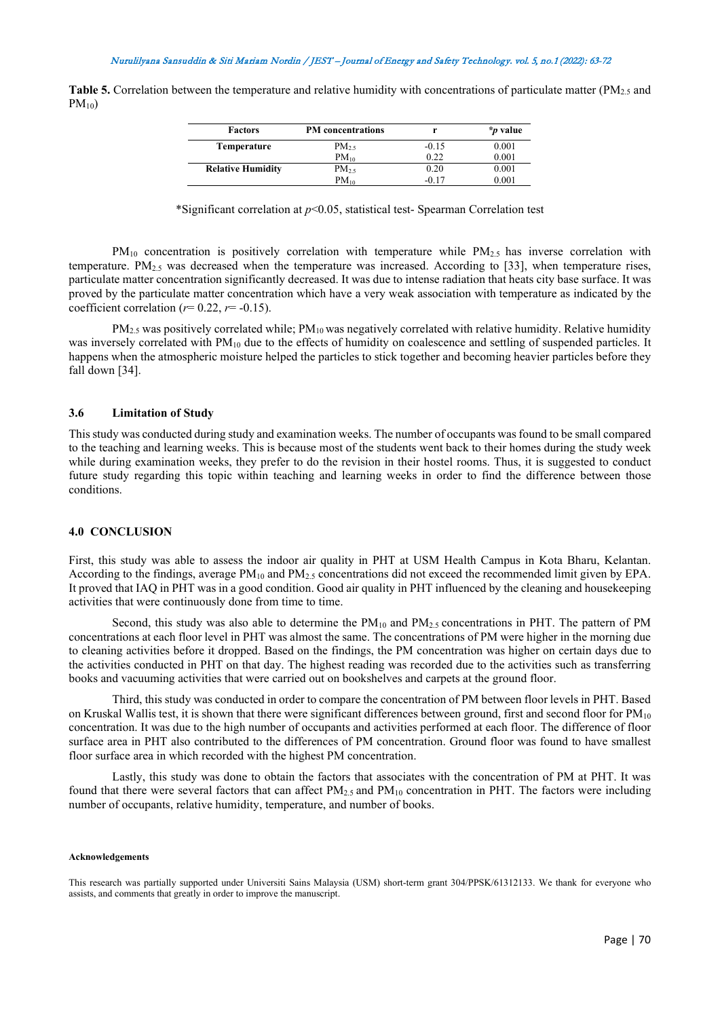**Table 5.** Correlation between the temperature and relative humidity with concentrations of particulate matter (PM<sub>2.5</sub> and  $PM_{10}$ 

| <b>Factors</b>           | <b>PM</b> concentrations |         | <i>*p</i> value |
|--------------------------|--------------------------|---------|-----------------|
| Temperature              | $PM_{2.5}$               | $-0.15$ | 0.001           |
|                          | $PM_{10}$                | 0.22    | 0.001           |
| <b>Relative Humidity</b> | $PM_{25}$                | 0.20    | 0.001           |
|                          | $PM_{10}$                | $-0.17$ | 0.001           |

\*Significant correlation at *p*<0.05, statistical test- Spearman Correlation test

 $PM_{10}$  concentration is positively correlation with temperature while  $PM_{2.5}$  has inverse correlation with temperature. PM2.5 was decreased when the temperature was increased. According to [33], when temperature rises, particulate matter concentration significantly decreased. It was due to intense radiation that heats city base surface. It was proved by the particulate matter concentration which have a very weak association with temperature as indicated by the coefficient correlation ( $r=0.22$ ,  $r=-0.15$ ).

 $PM_{2.5}$  was positively correlated while;  $PM_{10}$  was negatively correlated with relative humidity. Relative humidity was inversely correlated with  $PM_{10}$  due to the effects of humidity on coalescence and settling of suspended particles. It happens when the atmospheric moisture helped the particles to stick together and becoming heavier particles before they fall down [34].

#### **3.6 Limitation of Study**

This study was conducted during study and examination weeks. The number of occupants was found to be small compared to the teaching and learning weeks. This is because most of the students went back to their homes during the study week while during examination weeks, they prefer to do the revision in their hostel rooms. Thus, it is suggested to conduct future study regarding this topic within teaching and learning weeks in order to find the difference between those conditions.

#### **4.0 CONCLUSION**

First, this study was able to assess the indoor air quality in PHT at USM Health Campus in Kota Bharu, Kelantan. According to the findings, average  $PM_{10}$  and  $PM_{2.5}$  concentrations did not exceed the recommended limit given by EPA. It proved that IAQ in PHT was in a good condition. Good air quality in PHT influenced by the cleaning and housekeeping activities that were continuously done from time to time.

Second, this study was also able to determine the  $PM_{10}$  and  $PM_{2.5}$  concentrations in PHT. The pattern of PM concentrations at each floor level in PHT was almost the same. The concentrations of PM were higher in the morning due to cleaning activities before it dropped. Based on the findings, the PM concentration was higher on certain days due to the activities conducted in PHT on that day. The highest reading was recorded due to the activities such as transferring books and vacuuming activities that were carried out on bookshelves and carpets at the ground floor.

Third, this study was conducted in order to compare the concentration of PM between floor levels in PHT. Based on Kruskal Wallis test, it is shown that there were significant differences between ground, first and second floor for  $PM_{10}$ concentration. It was due to the high number of occupants and activities performed at each floor. The difference of floor surface area in PHT also contributed to the differences of PM concentration. Ground floor was found to have smallest floor surface area in which recorded with the highest PM concentration.

Lastly, this study was done to obtain the factors that associates with the concentration of PM at PHT. It was found that there were several factors that can affect  $PM_2$ , and  $PM_{10}$  concentration in PHT. The factors were including number of occupants, relative humidity, temperature, and number of books.

#### **Acknowledgements**

This research was partially supported under Universiti Sains Malaysia (USM) short-term grant 304/PPSK/61312133. We thank for everyone who assists, and comments that greatly in order to improve the manuscript.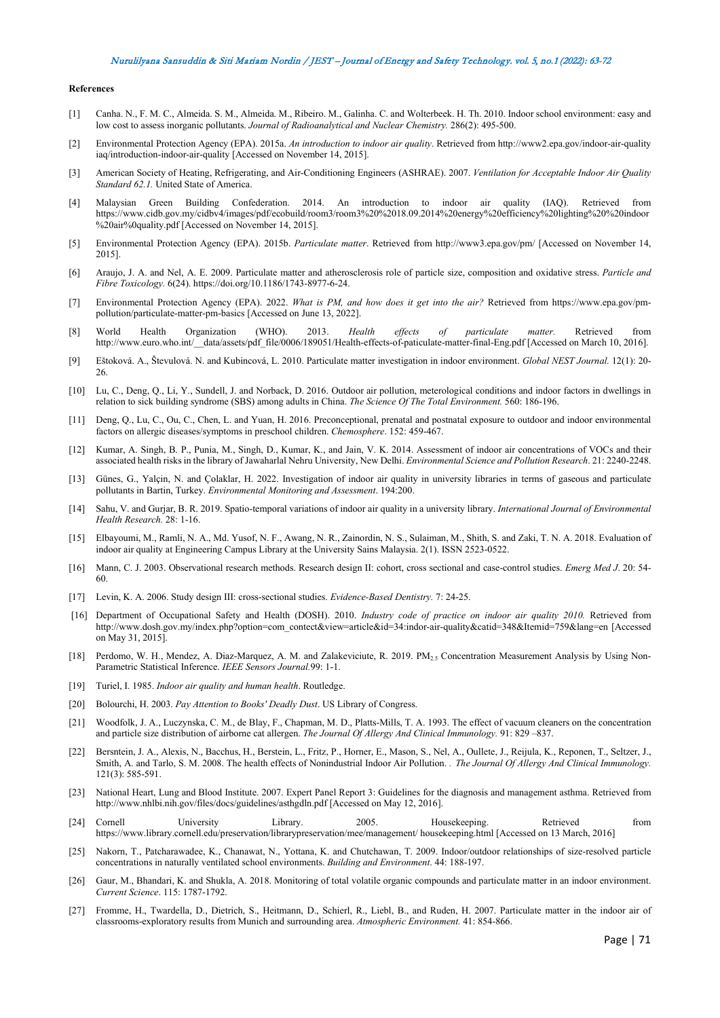#### **References**

- [1] Canha. N., F. M. C., Almeida. S. M., Almeida. M., Ribeiro. M., Galinha. C. and Wolterbeek. H. Th. 2010. Indoor school environment: easy and low cost to assess inorganic pollutants. *Journal of Radioanalytical and Nuclear Chemistry.* 286(2): 495-500.
- [2] Environmental Protection Agency (EPA). 2015a. *An introduction to indoor air quality*. Retrieved from http://www2.epa.gov/indoor-air-quality iaq/introduction-indoor-air-quality [Accessed on November 14, 2015].
- [3] American Society of Heating, Refrigerating, and Air-Conditioning Engineers (ASHRAE). 2007. *Ventilation for Acceptable Indoor Air Quality Standard 62.1.* United State of America.
- [4] Malaysian Green Building Confederation. 2014. An introduction to indoor air quality (IAQ). Retrieved from https://www.cidb.gov.my/cidbv4/images/pdf/ecobuild/room3/room3%20%2018.09.2014%20energy%20efficiency%20lighting%20%20indoor %20air%0quality.pdf [Accessed on November 14, 2015].
- [5] Environmental Protection Agency (EPA). 2015b. *Particulate matter*. Retrieved from http://www3.epa.gov/pm/ [Accessed on November 14, 2015].
- [6] Araujo, J. A. and Nel, A. E. 2009. Particulate matter and atherosclerosis role of particle size, composition and oxidative stress. *Particle and Fibre Toxicology.* 6(24)[. https://doi.org/10.1186/1743-8977-6-24.](https://doi.org/10.1186/1743-8977-6-24)
- [7] Environmental Protection Agency (EPA). 2022. *What is PM, and how does it get into the air?* Retrieved from [https://www.epa.gov/pm](https://www.epa.gov/pm-pollution/particulate-matter-pm-basics)[pollution/particulate-matter-pm-basics](https://www.epa.gov/pm-pollution/particulate-matter-pm-basics) [Accessed on June 13, 2022].
- [8] World Health Organization (WHO). 2013. *Health effects of particulate matter.* Retrieved from [http://www.euro.who.int/\\_\\_data/assets/pdf\\_file/0006/189051/Health-effects-of-paticulate-matter-final-Eng.pdf](http://www.euro.who.int/__data/assets/pdf_file/0006/189051/Health-effects-of-paticulate-matter-final-Eng.pdf) [Accessed on March 10, 2016].
- [9] Eštoková. A., Števulová. N. and Kubincová, L. 2010. Particulate matter investigation in indoor environment. *Global NEST Journal.* 12(1): 20- 26.
- [10] Lu, C., Deng, Q., Li, Y., Sundell, J. and Norback, D. 2016. Outdoor air pollution, meterological conditions and indoor factors in dwellings in relation to sick building syndrome (SBS) among adults in China. *The Science Of The Total Environment.* 560: 186-196.
- [11] Deng, Q., Lu, C., Ou, C., Chen, L. and Yuan, H. 2016. Preconceptional, prenatal and postnatal exposure to outdoor and indoor environmental factors on allergic diseases/symptoms in preschool children. *Chemosphere*. 152: 459-467.
- [12] Kumar, A. Singh, B. P., Punia, M., Singh, D., Kumar, K., and Jain, V. K. 2014. Assessment of indoor air concentrations of VOCs and their associated health risks in the library of Jawaharlal Nehru University, New Delhi. *Environmental Science and Pollution Research*. 21: 2240-2248.
- [13] Günes, G., Yalçin, N. and Çolaklar, H. 2022. Investigation of indoor air quality in university libraries in terms of gaseous and particulate pollutants in Bartin, Turkey. *Environmental Monitoring and Assessment*. 194:200.
- [14] Sahu, V. and Gurjar, B. R. 2019. Spatio-temporal variations of indoor air quality in a university library. *International Journal of Environmental Health Research.* 28: 1-16.
- [15] Elbayoumi, M., Ramli, N. A., Md. Yusof, N. F., Awang, N. R., Zainordin, N. S., Sulaiman, M., Shith, S. and Zaki, T. N. A. 2018. Evaluation of indoor air quality at Engineering Campus Library at the University Sains Malaysia. 2(1). ISSN 2523-0522.
- [16] Mann, C. J. 2003. Observational research methods. Research design II: cohort, cross sectional and case-control studies. *Emerg Med J*. 20: 54- 60.
- [17] Levin, K. A. 2006. Study design III: cross-sectional studies. *Evidence-Based Dentistry.* 7: 24-25.
- [16] Department of Occupational Safety and Health (DOSH). 2010. *Industry code of practice on indoor air quality 2010.* Retrieved from [http://www.dosh.gov.my/index.php?option=com\\_contect&view=article&id=34:indor-air-quality&catid=348&Itemid=759&lang=en](http://www.dosh.gov.my/index.php?option=com_contect&view=article&id=34:indor-air-quality&catid=348&Itemid=759&lang=en) [Accessed on May 31, 2015].
- [18] Perdomo, W. H., Mendez, A. Diaz-Marquez, A. M. and Zalakeviciute, R. 2019. PM<sub>2.5</sub> Concentration Measurement Analysis by Using Non-Parametric Statistical Inference. *IEEE Sensors Journal.*99: 1-1.
- [19] Turiel, I. 1985. *Indoor air quality and human health*. Routledge.
- [20] Bolourchi, H. 2003. *Pay Attention to Books' Deadly Dust*. US Library of Congress.
- [21] Woodfolk, J. A., Luczynska, C. M., de Blay, F., Chapman, M. D., Platts-Mills, T. A. 1993. The effect of vacuum cleaners on the concentration and particle size distribution of airborne cat allergen. *The Journal Of Allergy And Clinical Immunology.* 91: 829 –837.
- [22] Bersntein, J. A., Alexis, N., Bacchus, H., Berstein, L., Fritz, P., Horner, E., Mason, S., Nel, A., Oullete, J., Reijula, K., Reponen, T., Seltzer, J., Smith, A. and Tarlo, S. M. 2008. The health effects of Nonindustrial Indoor Air Pollution. *. The Journal Of Allergy And Clinical Immunology.*  121(3): 585-591.
- [23] National Heart, Lung and Blood Institute. 2007. Expert Panel Report 3: Guidelines for the diagnosis and management asthma. Retrieved from http://www.nhlbi.nih.gov/files/docs/guidelines/asthgdln.pdf [Accessed on May 12, 2016].
- [24] Cornell University Library. 2005. Housekeeping. Retrieved from https://www.library.cornell.edu/preservation/librarypreservation/mee/management/ housekeeping.html [Accessed on 13 March, 2016]
- [25] Nakorn, T., Patcharawadee, K., Chanawat, N., Yottana, K. and Chutchawan, T. 2009. Indoor/outdoor relationships of size-resolved particle concentrations in naturally ventilated school environments. *Building and Environment*. 44: 188-197.
- [26] Gaur, M., Bhandari, K. and Shukla, A. 2018. Monitoring of total volatile organic compounds and particulate matter in an indoor environment. *Current Science*. 115: 1787-1792.
- [27] Fromme, H., Twardella, D., Dietrich, S., Heitmann, D., Schierl, R., Liebl, B., and Ruden, H. 2007. Particulate matter in the indoor air of classrooms-exploratory results from Munich and surrounding area. *Atmospheric Environment.* 41: 854-866.